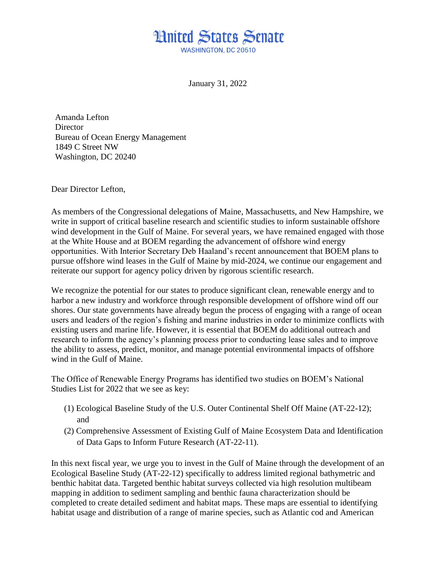## **Hnited States Senate WASHINGTON DC 20510**

January 31, 2022

Amanda Lefton **Director** Bureau of Ocean Energy Management 1849 C Street NW Washington, DC 20240

Dear Director Lefton,

As members of the Congressional delegations of Maine, Massachusetts, and New Hampshire, we write in support of critical baseline research and scientific studies to inform sustainable offshore wind development in the Gulf of Maine. For several years, we have remained engaged with those at the White House and at BOEM regarding the advancement of offshore wind energy opportunities. With Interior Secretary Deb Haaland's recent announcement that BOEM plans to pursue offshore wind leases in the Gulf of Maine by mid-2024, we continue our engagement and reiterate our support for agency policy driven by rigorous scientific research.

We recognize the potential for our states to produce significant clean, renewable energy and to harbor a new industry and workforce through responsible development of offshore wind off our shores. Our state governments have already begun the process of engaging with a range of ocean users and leaders of the region's fishing and marine industries in order to minimize conflicts with existing users and marine life. However, it is essential that BOEM do additional outreach and research to inform the agency's planning process prior to conducting lease sales and to improve the ability to assess, predict, monitor, and manage potential environmental impacts of offshore wind in the Gulf of Maine.

The Office of Renewable Energy Programs has identified two studies on BOEM's National Studies List for 2022 that we see as key:

- (1) Ecological Baseline Study of the U.S. Outer Continental Shelf Off Maine (AT-22-12); and
- (2) Comprehensive Assessment of Existing Gulf of Maine Ecosystem Data and Identification of Data Gaps to Inform Future Research (AT-22-11).

In this next fiscal year, we urge you to invest in the Gulf of Maine through the development of an Ecological Baseline Study (AT-22-12) specifically to address limited regional bathymetric and benthic habitat data. Targeted benthic habitat surveys collected via high resolution multibeam mapping in addition to sediment sampling and benthic fauna characterization should be completed to create detailed sediment and habitat maps. These maps are essential to identifying habitat usage and distribution of a range of marine species, such as Atlantic cod and American